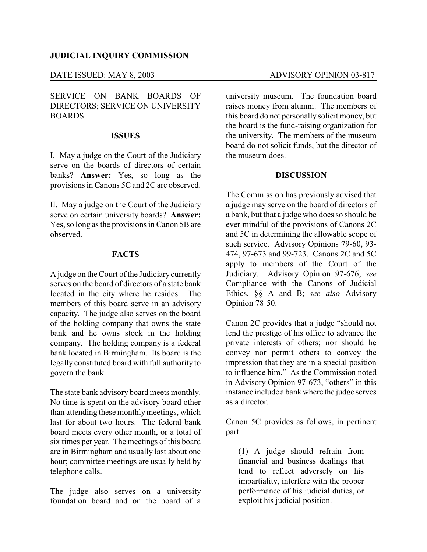# **JUDICIAL INQUIRY COMMISSION**

# SERVICE ON BANK BOARDS OF DIRECTORS; SERVICE ON UNIVERSITY BOARDS

### **ISSUES**

I. May a judge on the Court of the Judiciary serve on the boards of directors of certain banks? **Answer:** Yes, so long as the provisions in Canons 5C and 2C are observed.

II. May a judge on the Court of the Judiciary serve on certain university boards? **Answer:** Yes, so long as the provisions in Canon 5B are observed.

### **FACTS**

A judge on the Court of the Judiciarycurrently serves on the board of directors of a state bank located in the city where he resides. The members of this board serve in an advisory capacity. The judge also serves on the board of the holding company that owns the state bank and he owns stock in the holding company. The holding company is a federal bank located in Birmingham. Its board is the legally constituted board with full authority to govern the bank.

The state bank advisory board meets monthly. No time is spent on the advisory board other than attending these monthly meetings, which last for about two hours. The federal bank board meets every other month, or a total of six times per year. The meetings of this board are in Birmingham and usually last about one hour; committee meetings are usually held by telephone calls.

The judge also serves on a university foundation board and on the board of a

university museum. The foundation board raises money from alumni. The members of this board do not personally solicit money, but the board is the fund-raising organization for the university. The members of the museum board do not solicit funds, but the director of the museum does.

# **DISCUSSION**

The Commission has previously advised that a judge may serve on the board of directors of a bank, but that a judge who does so should be ever mindful of the provisions of Canons 2C and 5C in determining the allowable scope of such service. Advisory Opinions 79-60, 93- 474, 97-673 and 99-723. Canons 2C and 5C apply to members of the Court of the Judiciary. Advisory Opinion 97-676; *see* Compliance with the Canons of Judicial Ethics, §§ A and B; *see also* Advisory Opinion 78-50.

Canon 2C provides that a judge "should not lend the prestige of his office to advance the private interests of others; nor should he convey nor permit others to convey the impression that they are in a special position to influence him." As the Commission noted in Advisory Opinion 97-673, "others" in this instance include a bank where the judge serves as a director.

Canon 5C provides as follows, in pertinent part:

(1) A judge should refrain from financial and business dealings that tend to reflect adversely on his impartiality, interfere with the proper performance of his judicial duties, or exploit his judicial position.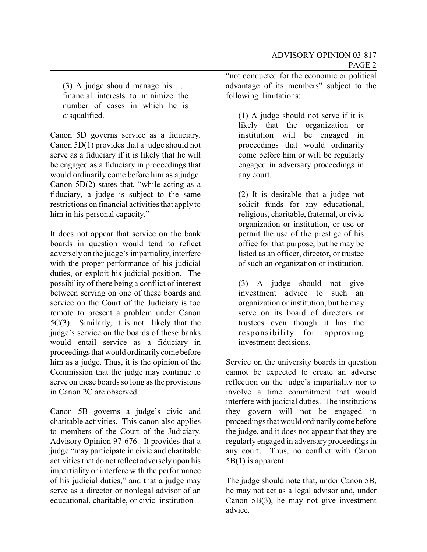(3) A judge should manage his . . . financial interests to minimize the number of cases in which he is disqualified.

Canon 5D governs service as a fiduciary. Canon 5D(1) provides that a judge should not serve as a fiduciary if it is likely that he will be engaged as a fiduciary in proceedings that would ordinarily come before him as a judge. Canon 5D(2) states that, "while acting as a fiduciary, a judge is subject to the same restrictions on financial activities that apply to him in his personal capacity."

It does not appear that service on the bank boards in question would tend to reflect adverselyon the judge's impartiality, interfere with the proper performance of his judicial duties, or exploit his judicial position. The possibility of there being a conflict of interest between serving on one of these boards and service on the Court of the Judiciary is too remote to present a problem under Canon 5C(3). Similarly, it is not likely that the judge's service on the boards of these banks would entail service as a fiduciary in proceedings that would ordinarilycome before him as a judge. Thus, it is the opinion of the Commission that the judge may continue to serve on these boards so long as the provisions in Canon 2C are observed.

Canon 5B governs a judge's civic and charitable activities. This canon also applies to members of the Court of the Judiciary. Advisory Opinion 97-676. It provides that a judge "may participate in civic and charitable activities that do not reflect adversely upon his impartiality or interfere with the performance of his judicial duties," and that a judge may serve as a director or nonlegal advisor of an educational, charitable, or civic institution

"not conducted for the economic or political advantage of its members" subject to the following limitations:

(1) A judge should not serve if it is likely that the organization or institution will be engaged in proceedings that would ordinarily come before him or will be regularly engaged in adversary proceedings in any court.

(2) It is desirable that a judge not solicit funds for any educational, religious, charitable, fraternal, or civic organization or institution, or use or permit the use of the prestige of his office for that purpose, but he may be listed as an officer, director, or trustee of such an organization or institution.

(3) A judge should not give investment advice to such an organization or institution, but he may serve on its board of directors or trustees even though it has the responsibility for approving investment decisions.

Service on the university boards in question cannot be expected to create an adverse reflection on the judge's impartiality nor to involve a time commitment that would interfere with judicial duties. The institutions they govern will not be engaged in proceedings that would ordinarilycome before the judge, and it does not appear that they are regularly engaged in adversary proceedings in any court. Thus, no conflict with Canon 5B(1) is apparent.

The judge should note that, under Canon 5B, he may not act as a legal advisor and, under Canon 5B(3), he may not give investment advice.